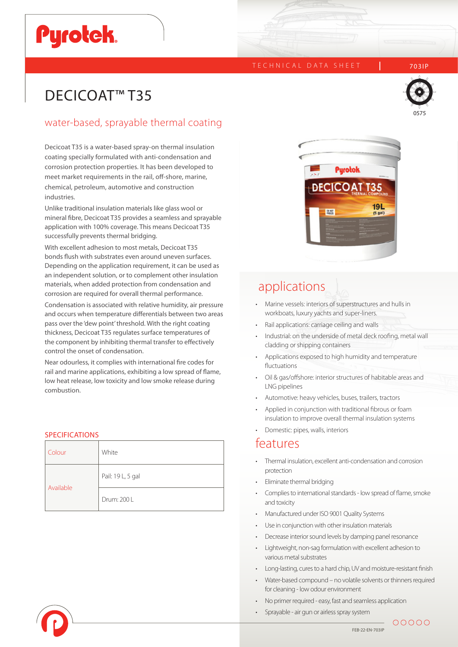# **Pyrotek**

### TECHNICAL DATA SHEET | 703IP



## DECICOAT<sup>™</sup>T35

### water-based, sprayable thermal coating

Decicoat T35 is a water-based spray-on thermal insulation coating specially formulated with anti-condensation and corrosion protection properties. It has been developed to meet market requirements in the rail, off-shore, marine, chemical, petroleum, automotive and construction industries.

Unlike traditional insulation materials like glass wool or mineral fibre, Decicoat T35 provides a seamless and sprayable application with 100% coverage. This means Decicoat T35 successfully prevents thermal bridging.

With excellent adhesion to most metals, Decicoat T35 bonds flush with substrates even around uneven surfaces. Depending on the application requirement, it can be used as an independent solution, or to complement other insulation materials, when added protection from condensation and corrosion are required for overall thermal performance.

Condensation is associated with relative humidity, air pressure and occurs when temperature differentials between two areas pass over the 'dew point' threshold. With the right coating thickness, Decicoat T35 regulates surface temperatures of the component by inhibiting thermal transfer to effectively control the onset of condensation.

Near odourless, it complies with international fire codes for rail and marine applications, exhibiting a low spread of flame, low heat release, low toxicity and low smoke release during combustion.

### **SPECIFICATIONS**

| Colour    | White             |
|-----------|-------------------|
| Available | Pail: 19 L, 5 gal |
|           | Drum: 200 L       |



### applications

- Marine vessels: interiors of superstructures and hulls in workboats, luxury yachts and super-liners.
- Rail applications: carriage ceiling and walls
- Industrial: on the underside of metal deck roofing, metal wall cladding or shipping containers
- Applications exposed to high humidity and temperature fluctuations
- Oil & gas/offshore: interior structures of habitable areas and LNG pipelines
- Automotive: heavy vehicles, buses, trailers, tractors
- Applied in conjunction with traditional fibrous or foam insulation to improve overall thermal insulation systems
- Domestic: pipes, walls, interiors

### features

- Thermal insulation, excellent anti-condensation and corrosion protection
- Eliminate thermal bridging
- Complies to international standards low spread of flame, smoke and toxicity
- Manufactured under ISO 9001 Quality Systems
- Use in conjunction with other insulation materials
- Decrease interior sound levels by damping panel resonance
- Lightweight, non-sag formulation with excellent adhesion to various metal substrates
- Long-lasting, cures to a hard chip, UV and moisture-resistant finish
- Water-based compound no volatile solvents or thinners required for cleaning - low odour environment
- No primer required easy, fast and seamless application
- Sprayable air gun or airless spray system



00000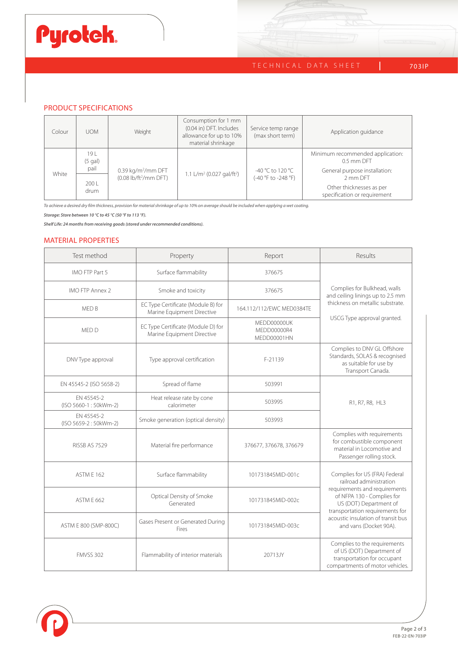# Pyrotek.

### TECHNICAL DATA SHEET 703IP

### PRODUCT SPECIFICATIONS

| Colour | <b>UOM</b>       | Weight                                                                     | Consumption for 1 mm<br>(0.04 in) DFT. Includes<br>allowance for up to 10%<br>material shrinkage | Service temp range<br>(max short term)  | Application guidance                                     |
|--------|------------------|----------------------------------------------------------------------------|--------------------------------------------------------------------------------------------------|-----------------------------------------|----------------------------------------------------------|
| White  | 191<br>$(5$ gal) | $0.39$ kg/m <sup>2</sup> /mm DFT<br>$(0.08 \text{ lb/ft}^2/\text{mm DFT})$ | 1.1 L/m <sup>2</sup> (0.027 gal/ft <sup>2</sup> )                                                | -40 °C to 120 °C<br>(-40 °F to -248 °F) | Minimum recommended application:<br>0.5 mm DFT           |
|        | pail             |                                                                            |                                                                                                  |                                         | General purpose installation:<br>2 mm DFT                |
|        | 2001<br>drum     |                                                                            |                                                                                                  |                                         | Other thicknesses as per<br>specification or requirement |

*To achieve a desired dry film thickness, provision for material shrinkage of up to 10% on average should be included when applying a wet coating.* 

*Storage: Store between 10 °C to 45 °C (50 °F to 113 °F).* 

*Shelf Life: 24 months from receiving goods (stored under recommended conditions).*

### MATERIAL PROPERTIES

| Test method                                                                    | Property<br>Report                                               |                                           | Results                                                                                                                     |  |
|--------------------------------------------------------------------------------|------------------------------------------------------------------|-------------------------------------------|-----------------------------------------------------------------------------------------------------------------------------|--|
| IMO FTP Part 5                                                                 | Surface flammability                                             | 376675                                    |                                                                                                                             |  |
| <b>IMO FTP Annex 2</b>                                                         | Smoke and toxicity                                               | 376675                                    | Complies for Bulkhead, walls<br>and ceiling linings up to 2.5 mm                                                            |  |
| MED B                                                                          | EC Type Certificate (Module B) for<br>Marine Equipment Directive | 164.112/112/EWC MED0384TE                 | thickness on metallic substrate.                                                                                            |  |
| MED D                                                                          | EC Type Certificate (Module D) for<br>Marine Equipment Directive | MEDD00000UK<br>MEDD00000R4<br>MEDD00001HN | USCG Type approval granted.                                                                                                 |  |
| DNV Type approval                                                              | Type approval certification                                      | F-21139                                   | Complies to DNV GL Offshore<br>Standards, SOLAS & recognised<br>as suitable for use by<br>Transport Canada.                 |  |
| EN 45545-2 (ISO 5658-2)                                                        | Spread of flame                                                  | 503991                                    |                                                                                                                             |  |
| Heat release rate by cone<br>EN 45545-2<br>(ISO 5660-1:50kWm-2)<br>calorimeter |                                                                  | 503995                                    | R1, R7, R8, HL3                                                                                                             |  |
| EN 45545-2<br>(ISO 5659-2:50kWm-2)                                             | Smoke generation (optical density)                               | 503993                                    |                                                                                                                             |  |
| RISSB AS 7529                                                                  | Material fire performance                                        | 376677, 376678, 376679                    | Complies with requirements<br>for combustible component<br>material in Locomotive and<br>Passenger rolling stock.           |  |
| ASTM E 162                                                                     | Surface flammability                                             | 101731845MID-001c                         | Complies for US (FRA) Federal<br>railroad administration                                                                    |  |
| ASTM E 662                                                                     | Optical Density of Smoke<br>Generated                            | 101731845MID-002c                         | requirements and requirements<br>of NFPA 130 - Complies for<br>US (DOT) Department of<br>transportation requirements for    |  |
| ASTM E 800 (SMP-800C)                                                          | Gases Present or Generated During<br>Fires                       | 101731845MID-003c                         | acoustic insulation of transit bus<br>and vans (Docket 90A).                                                                |  |
| <b>FMVSS 302</b>                                                               | Flammability of interior materials                               | 20713JY                                   | Complies to the requirements<br>of US (DOT) Department of<br>transportation for occupant<br>compartments of motor vehicles. |  |